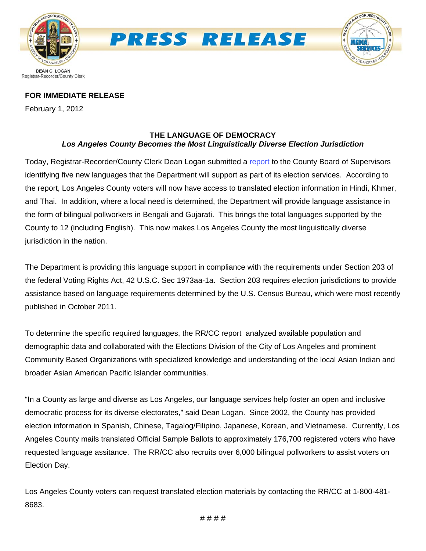



## **FOR IMMEDIATE RELEASE**

February 1, 2012

## **THE LANGUAGE OF DEMOCRACY** *Los Angeles County Becomes the Most Linguistically Diverse Election Jurisdiction*

Today, Registrar-Recorder/County Clerk Dean Logan submitted a [report](http://www.lavote.net/GENERAL/PDFS/BOARD_CORRESPONDENCE/01312012-053434.pdf) to the County Board of Supervisors identifying five new languages that the Department will support as part of its election services. According to the report, Los Angeles County voters will now have access to translated election information in Hindi, Khmer, and Thai. In addition, where a local need is determined, the Department will provide language assistance in the form of bilingual pollworkers in Bengali and Gujarati. This brings the total languages supported by the County to 12 (including English). This now makes Los Angeles County the most linguistically diverse jurisdiction in the nation.

The Department is providing this language support in compliance with the requirements under Section 203 of the federal Voting Rights Act, 42 U.S.C. Sec 1973aa-1a. Section 203 requires election jurisdictions to provide assistance based on language requirements determined by the U.S. Census Bureau, which were most recently published in October 2011.

To determine the specific required languages, the RR/CC report analyzed available population and demographic data and collaborated with the Elections Division of the City of Los Angeles and prominent Community Based Organizations with specialized knowledge and understanding of the local Asian Indian and broader Asian American Pacific Islander communities.

"In a County as large and diverse as Los Angeles, our language services help foster an open and inclusive democratic process for its diverse electorates," said Dean Logan. Since 2002, the County has provided election information in Spanish, Chinese, Tagalog/Filipino, Japanese, Korean, and Vietnamese. Currently, Los Angeles County mails translated Official Sample Ballots to approximately 176,700 registered voters who have requested language assitance. The RR/CC also recruits over 6,000 bilingual pollworkers to assist voters on Election Day.

Los Angeles County voters can request translated election materials by contacting the RR/CC at 1-800-481- 8683.